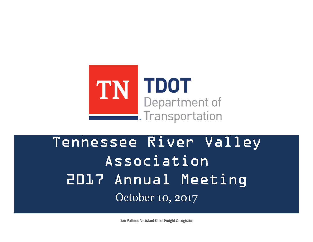

# Tennessee River Valley Association2017 Annual Meeting October 10, 2017

Dan Pallme, Assistant Chief Freight & Logistics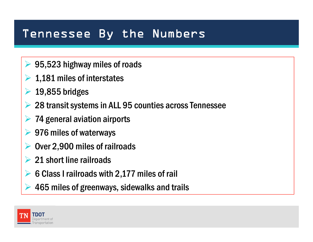#### Tennessee By the Numbers

- **► 95,523 highway miles of roads**
- $\geq 1,181$  miles of interstates
- $\blacktriangleright$ 19,855 bridges
- ➤ 28 transit systems in ALL 95 counties across Tennessee
- $\blacktriangleright$ 74 general aviation airports
- **► 976 miles of waterways**
- $\blacktriangleright$ Over 2,900 miles of railroads
- **► 21 short line railroads**
- ► 6 Class I railroads with 2,177 miles of rail
- $\blacktriangleright$ 465 miles of greenways, sidewalks and trails

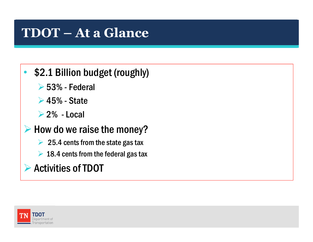## **TDOT – At a Glance**

#### $\bullet$ \$2.1 Billion budget (roughly)

- 53% Federal
- **► 45% State**
- $\geq 2\%$  Local

# $\triangleright$  How do we raise the money?

- $\geq 25.4$  cents from the state gas tax
- $\geq 18.4$  cents from the federal gas tax

# Activities of TDOT

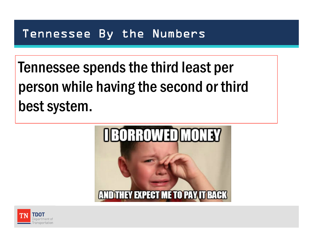#### Tennessee By the Numbers

Tennessee spends the third least per person while having the second or third best system.



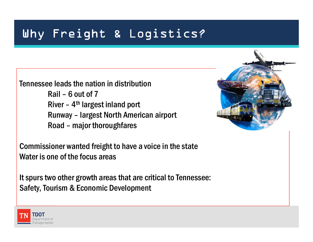## Why Freight & Logistics?

Tennessee leads the nation in distributionRail – 6 out of 7 River –  $4<sup>th</sup>$  largest inland port Runway – largest North American airport Road – major thoroughfares

Commissioner wanted freight to have a voice in the stateWater is one of the focus areas

It spurs two other growth areas that are critical to Tennessee:Safety, Tourism & Economic Development



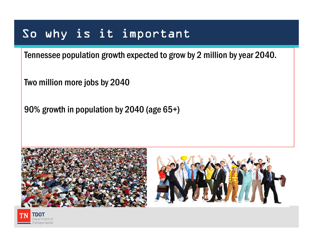### So why is it important

Tennessee population growth expected to grow by 2 million by year 2040.

Two million more jobs by 2040

90% growth in population by 2040 (age 65+)





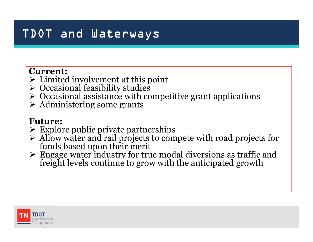### TDOT and Waterways

#### **Current:**

- $\geq$  Limited involvement at this point<br> $\geq$  Occasional feasibility studies
- $\geqslant$  Occasional feasibility studies<br> $\geqslant$  Occasional assistance with co
- $\geq$  Occasional assistance with competitive grant applications<br> $\geq$  Administering some grants
- Administering some grants

#### **Future:**

- Explore public private partnerships<br>  $\geq$  Allow water and rail projects to com
- Allow water and rail projects to compete with road projects for funds based upon their merit
- $\triangleright$  Engage water industry for tr Freight levels continue to grow with the anticipated growth

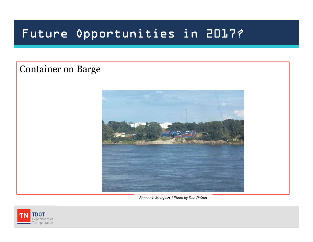## Future Opportunities in 2017?

#### Container on Barge



Seacor in Memphis / Photo by Dan Pallme

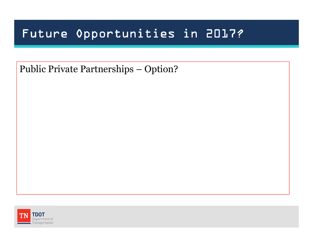### Future Opportunities in 2017?

Public Private Partnerships – Option?